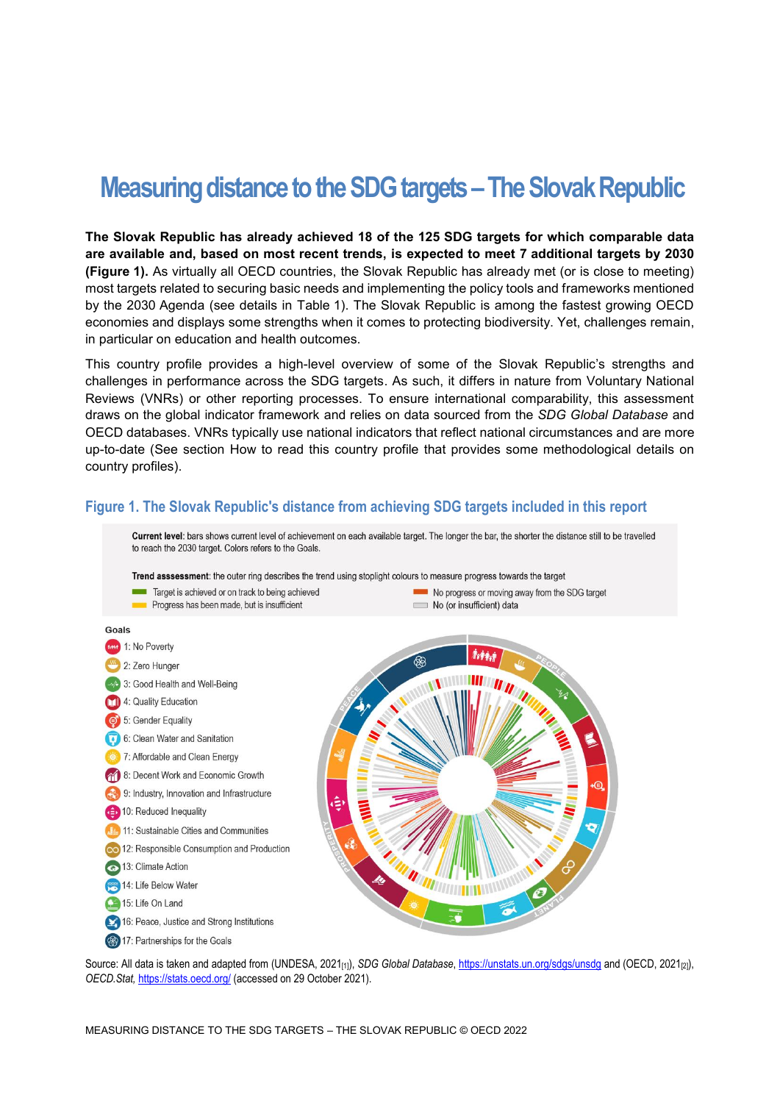# **Measuring distance to the SDG targets –The Slovak Republic**

**The Slovak Republic has already achieved 18 of the 125 SDG targets for which comparable data are available and, based on most recent trends, is expected to meet 7 additional targets by 2030 [\(Figure](#page-0-0) 1).** As virtually all OECD countries, the Slovak Republic has already met (or is close to meeting) most targets related to securing basic needs and implementing the policy tools and frameworks mentioned by the 2030 Agenda (see details in [Table](#page-3-0) 1). The Slovak Republic is among the fastest growing OECD economies and displays some strengths when it comes to protecting biodiversity. Yet, challenges remain, in particular on education and health outcomes.

This country profile provides a high-level overview of some of the Slovak Republic's strengths and challenges in performance across the SDG targets. As such, it differs in nature from Voluntary National Reviews (VNRs) or other reporting processes. To ensure international comparability, this assessment draws on the global indicator framework and relies on data sourced from the *SDG Global Database* and OECD databases. VNRs typically use national indicators that reflect national circumstances and are more up-to-date (See section [How to read this](#page-7-0) country profile that provides some methodological details on country profiles).

#### <span id="page-0-0"></span>**Figure 1. The Slovak Republic's distance from achieving SDG targets included in this report**



Source: All data is taken and adapted from (UNDESA, 2021<sub>[1]</sub>), *SDG Global Database*[, https://unstats.un.org/sdgs/unsdg](https://unstats.un.org/sdgs/unsdg) and (OECD, 2021<sub>[2]</sub>), *OECD.Stat,* <https://stats.oecd.org/> (accessed on 29 October 2021).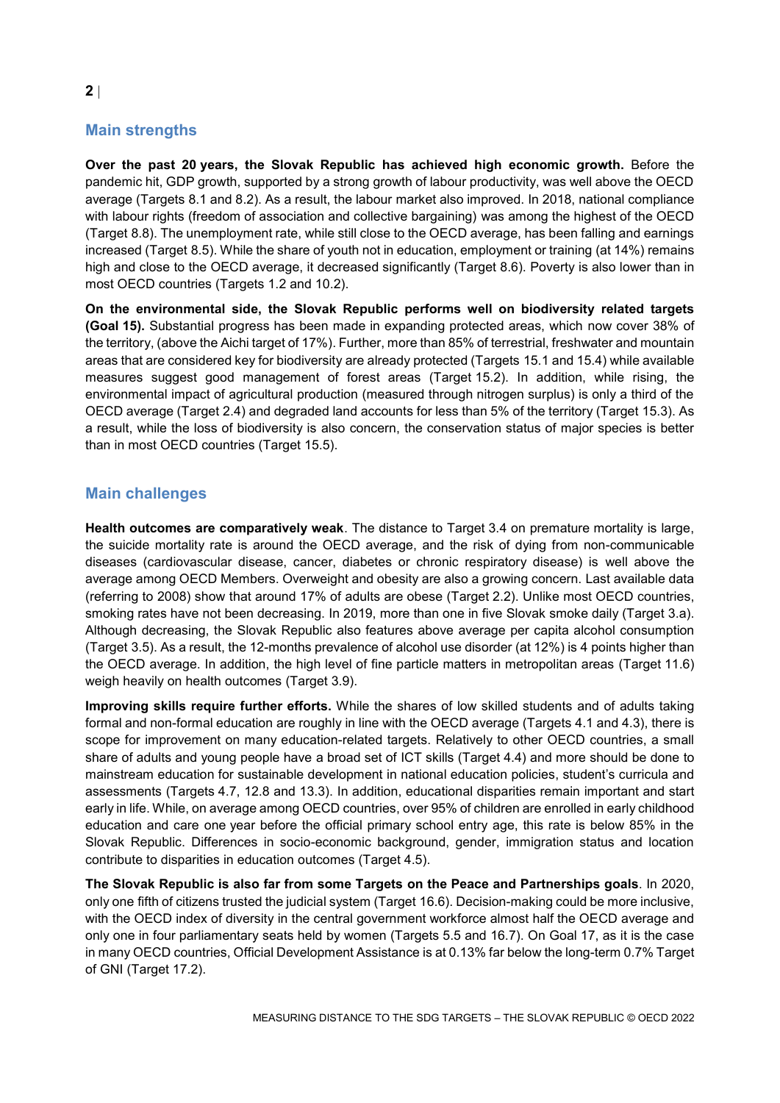# **Main strengths**

**Over the past 20 years, the Slovak Republic has achieved high economic growth.** Before the pandemic hit, GDP growth, supported by a strong growth of labour productivity, was well above the OECD average (Targets 8.1 and 8.2). As a result, the labour market also improved. In 2018, national compliance with labour rights (freedom of association and collective bargaining) was among the highest of the OECD (Target 8.8). The unemployment rate, while still close to the OECD average, has been falling and earnings increased (Target 8.5). While the share of youth not in education, employment or training (at 14%) remains high and close to the OECD average, it decreased significantly (Target 8.6). Poverty is also lower than in most OECD countries (Targets 1.2 and 10.2).

**On the environmental side, the Slovak Republic performs well on biodiversity related targets (Goal 15).** Substantial progress has been made in expanding protected areas, which now cover 38% of the territory, (above the Aichi target of 17%). Further, more than 85% of terrestrial, freshwater and mountain areas that are considered key for biodiversity are already protected (Targets 15.1 and 15.4) while available measures suggest good management of forest areas (Target 15.2). In addition, while rising, the environmental impact of agricultural production (measured through nitrogen surplus) is only a third of the OECD average (Target 2.4) and degraded land accounts for less than 5% of the territory (Target 15.3). As a result, while the loss of biodiversity is also concern, the conservation status of major species is better than in most OECD countries (Target 15.5).

### **Main challenges**

**Health outcomes are comparatively weak**. The distance to Target 3.4 on premature mortality is large, the suicide mortality rate is around the OECD average, and the risk of dying from non-communicable diseases (cardiovascular disease, cancer, diabetes or chronic respiratory disease) is well above the average among OECD Members. Overweight and obesity are also a growing concern. Last available data (referring to 2008) show that around 17% of adults are obese (Target 2.2). Unlike most OECD countries, smoking rates have not been decreasing. In 2019, more than one in five Slovak smoke daily (Target 3.a). Although decreasing, the Slovak Republic also features above average per capita alcohol consumption (Target 3.5). As a result, the 12-months prevalence of alcohol use disorder (at 12%) is 4 points higher than the OECD average. In addition, the high level of fine particle matters in metropolitan areas (Target 11.6) weigh heavily on health outcomes (Target 3.9).

**Improving skills require further efforts.** While the shares of low skilled students and of adults taking formal and non-formal education are roughly in line with the OECD average (Targets 4.1 and 4.3), there is scope for improvement on many education-related targets. Relatively to other OECD countries, a small share of adults and young people have a broad set of ICT skills (Target 4.4) and more should be done to mainstream education for sustainable development in national education policies, student's curricula and assessments (Targets 4.7, 12.8 and 13.3). In addition, educational disparities remain important and start early in life. While, on average among OECD countries, over 95% of children are enrolled in early childhood education and care one year before the official primary school entry age, this rate is below 85% in the Slovak Republic. Differences in socio-economic background, gender, immigration status and location contribute to disparities in education outcomes (Target 4.5).

**The Slovak Republic is also far from some Targets on the Peace and Partnerships goals**. In 2020, only one fifth of citizens trusted the judicial system (Target 16.6). Decision-making could be more inclusive, with the OECD index of diversity in the central government workforce almost half the OECD average and only one in four parliamentary seats held by women (Targets 5.5 and 16.7). On Goal 17, as it is the case in many OECD countries, Official Development Assistance is at 0.13% far below the long-term 0.7% Target of GNI (Target 17.2).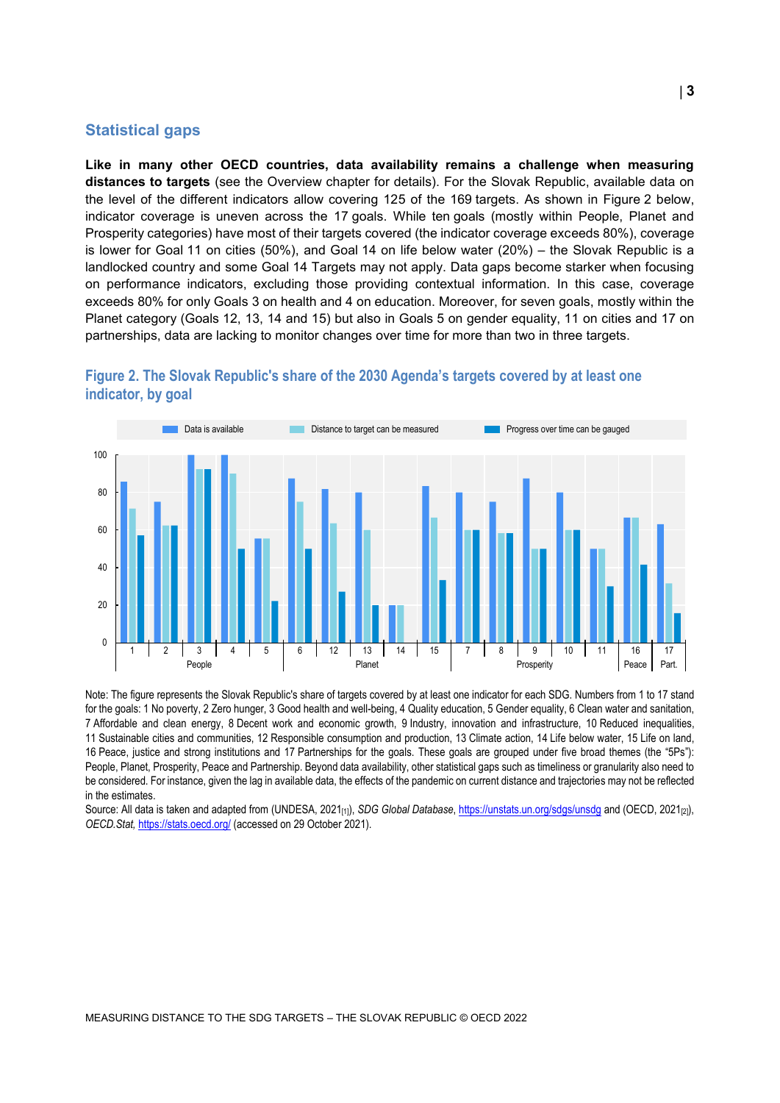#### **Statistical gaps**

**Like in many other OECD countries, data availability remains a challenge when measuring distances to targets** (see the Overview chapter for details). For the Slovak Republic, available data on the level of the different indicators allow covering 125 of the 169 targets. As shown in [Figure](#page-2-0) 2 below, indicator coverage is uneven across the 17 goals. While ten goals (mostly within People, Planet and Prosperity categories) have most of their targets covered (the indicator coverage exceeds 80%), coverage is lower for Goal 11 on cities (50%), and Goal 14 on life below water (20%) – the Slovak Republic is a landlocked country and some Goal 14 Targets may not apply. Data gaps become starker when focusing on performance indicators, excluding those providing contextual information. In this case, coverage exceeds 80% for only Goals 3 on health and 4 on education. Moreover, for seven goals, mostly within the Planet category (Goals 12, 13, 14 and 15) but also in Goals 5 on gender equality, 11 on cities and 17 on partnerships, data are lacking to monitor changes over time for more than two in three targets.



<span id="page-2-0"></span>

Note: The figure represents the Slovak Republic's share of targets covered by at least one indicator for each SDG. Numbers from 1 to 17 stand for the goals: 1 No poverty, 2 Zero hunger, 3 Good health and well-being, 4 Quality education, 5 Gender equality, 6 Clean water and sanitation, 7 Affordable and clean energy, 8 Decent work and economic growth, 9 Industry, innovation and infrastructure, 10 Reduced inequalities, 11 Sustainable cities and communities, 12 Responsible consumption and production, 13 Climate action, 14 Life below water, 15 Life on land, 16 Peace, justice and strong institutions and 17 Partnerships for the goals. These goals are grouped under five broad themes (the "5Ps"): People, Planet, Prosperity, Peace and Partnership. Beyond data availability, other statistical gaps such as timeliness or granularity also need to be considered. For instance, given the lag in available data, the effects of the pandemic on current distance and trajectories may not be reflected in the estimates.

Source: All data is taken and adapted from (UNDESA, 2021<sub>[1]</sub>), *SDG Global Database*[, https://unstats.un.org/sdgs/unsdg](https://unstats.un.org/sdgs/unsdg) and (OECD, 2021<sub>[2]</sub>), *OECD.Stat,* <https://stats.oecd.org/> (accessed on 29 October 2021).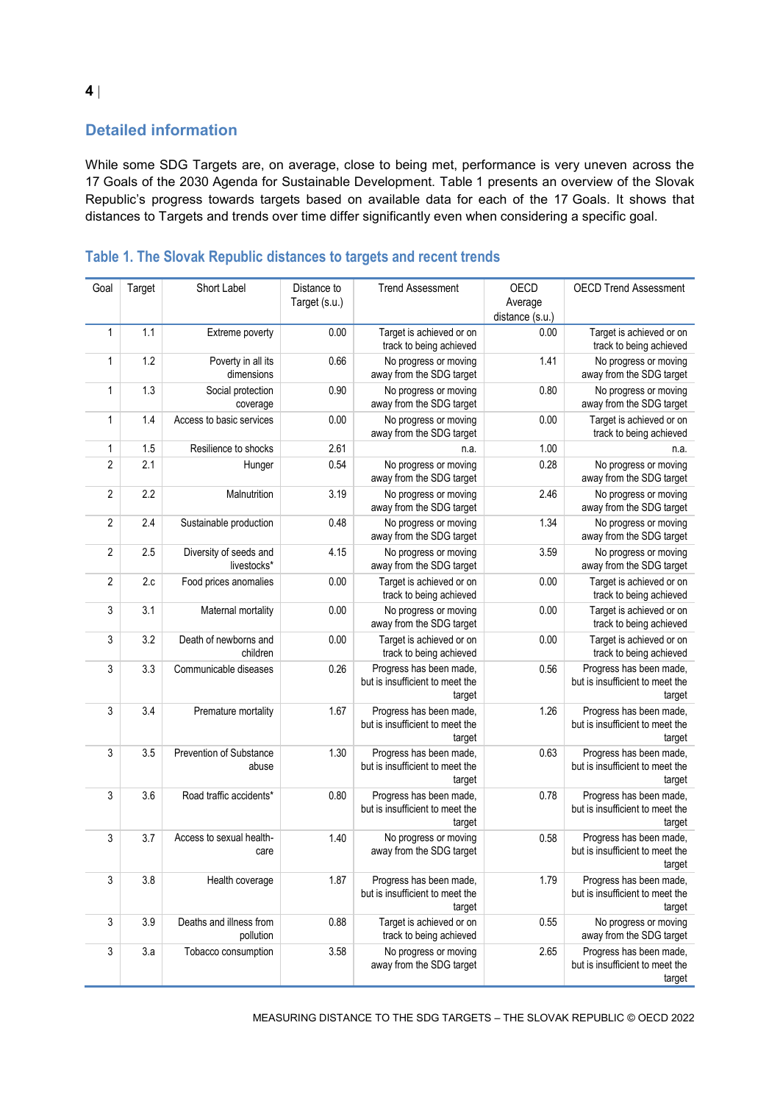# **Detailed information**

While some SDG Targets are, on average, close to being met, performance is very uneven across the 17 Goals of the 2030 Agenda for Sustainable Development. [Table](#page-3-0) 1 presents an overview of the Slovak Republic's progress towards targets based on available data for each of the 17 Goals. It shows that distances to Targets and trends over time differ significantly even when considering a specific goal.

| Goal           | Target | Short Label                           | Distance to<br>Target (s.u.) | <b>Trend Assessment</b>                                              | OECD<br>Average | <b>OECD Trend Assessment</b>                                         |
|----------------|--------|---------------------------------------|------------------------------|----------------------------------------------------------------------|-----------------|----------------------------------------------------------------------|
|                |        |                                       |                              |                                                                      | distance (s.u.) |                                                                      |
| $\mathbf{1}$   | 1.1    | Extreme poverty                       | 0.00                         | Target is achieved or on<br>track to being achieved                  | 0.00            | Target is achieved or on<br>track to being achieved                  |
| 1              | 1.2    | Poverty in all its<br>dimensions      | 0.66                         | No progress or moving<br>away from the SDG target                    | 1.41            | No progress or moving<br>away from the SDG target                    |
| 1              | 1.3    | Social protection<br>coverage         | 0.90                         | No progress or moving<br>away from the SDG target                    | 0.80            | No progress or moving<br>away from the SDG target                    |
| 1              | 1.4    | Access to basic services              | 0.00                         | No progress or moving<br>away from the SDG target                    | 0.00            | Target is achieved or on<br>track to being achieved                  |
| 1              | 1.5    | Resilience to shocks                  | 2.61                         | n.a.                                                                 | 1.00            | n.a.                                                                 |
| $\overline{2}$ | 2.1    | Hunger                                | 0.54                         | No progress or moving<br>away from the SDG target                    | 0.28            | No progress or moving<br>away from the SDG target                    |
| $\overline{2}$ | 2.2    | Malnutrition                          | 3.19                         | No progress or moving<br>away from the SDG target                    | 2.46            | No progress or moving<br>away from the SDG target                    |
| $\overline{2}$ | 2.4    | Sustainable production                | 0.48                         | No progress or moving<br>away from the SDG target                    | 1.34            | No progress or moving<br>away from the SDG target                    |
| $\overline{2}$ | 2.5    | Diversity of seeds and<br>livestocks* | 4.15                         | No progress or moving<br>away from the SDG target                    | 3.59            | No progress or moving<br>away from the SDG target                    |
| $\overline{2}$ | 2.c    | Food prices anomalies                 | 0.00                         | Target is achieved or on<br>track to being achieved                  | 0.00            | Target is achieved or on<br>track to being achieved                  |
| 3              | 3.1    | Maternal mortality                    | 0.00                         | No progress or moving<br>away from the SDG target                    | 0.00            | Target is achieved or on<br>track to being achieved                  |
| 3              | 3.2    | Death of newborns and<br>children     | 0.00                         | Target is achieved or on<br>track to being achieved                  | 0.00            | Target is achieved or on<br>track to being achieved                  |
| 3              | 3.3    | Communicable diseases                 | 0.26                         | Progress has been made,<br>but is insufficient to meet the<br>target | 0.56            | Progress has been made,<br>but is insufficient to meet the<br>target |
| 3              | 3.4    | Premature mortality                   | 1.67                         | Progress has been made,<br>but is insufficient to meet the<br>target | 1.26            | Progress has been made,<br>but is insufficient to meet the<br>target |
| 3              | 3.5    | Prevention of Substance<br>abuse      | 1.30                         | Progress has been made,<br>but is insufficient to meet the<br>target | 0.63            | Progress has been made,<br>but is insufficient to meet the<br>target |
| 3              | 3.6    | Road traffic accidents*               | 0.80                         | Progress has been made,<br>but is insufficient to meet the<br>target | 0.78            | Progress has been made,<br>but is insufficient to meet the<br>target |
| 3              | 3.7    | Access to sexual health-<br>care      | 1.40                         | No progress or moving<br>away from the SDG target                    | 0.58            | Progress has been made,<br>but is insufficient to meet the<br>target |
| 3              | 3.8    | Health coverage                       | 1.87                         | Progress has been made,<br>but is insufficient to meet the<br>target | 1.79            | Progress has been made,<br>but is insufficient to meet the<br>target |
| 3              | 3.9    | Deaths and illness from<br>pollution  | 0.88                         | Target is achieved or on<br>track to being achieved                  | 0.55            | No progress or moving<br>away from the SDG target                    |
| 3              | 3.a    | Tobacco consumption                   | 3.58                         | No progress or moving<br>away from the SDG target                    | 2.65            | Progress has been made,<br>but is insufficient to meet the<br>target |

# <span id="page-3-0"></span>**Table 1. The Slovak Republic distances to targets and recent trends**

MEASURING DISTANCE TO THE SDG TARGETS – THE SLOVAK REPUBLIC © OECD 2022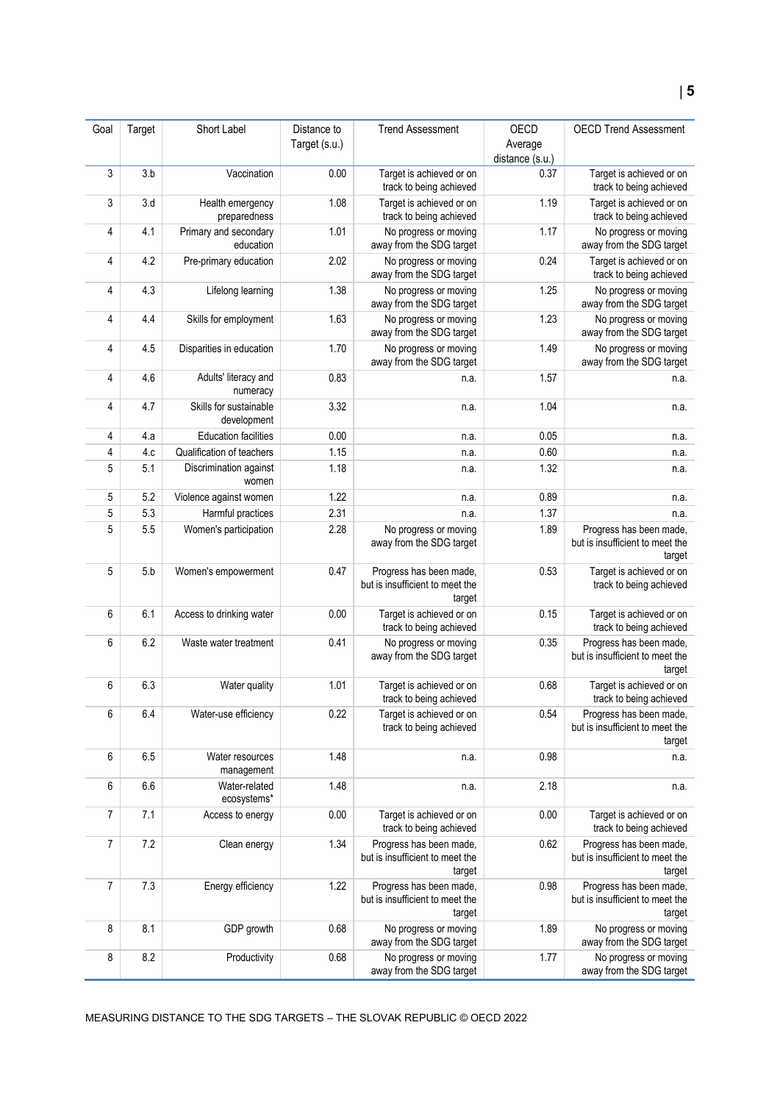| Goal | Target | Short Label                           | Distance to   | <b>Trend Assessment</b>                                              | OECD            | <b>OECD Trend Assessment</b>                                         |
|------|--------|---------------------------------------|---------------|----------------------------------------------------------------------|-----------------|----------------------------------------------------------------------|
|      |        |                                       | Target (s.u.) |                                                                      | Average         |                                                                      |
|      |        |                                       |               |                                                                      | distance (s.u.) |                                                                      |
| 3    | 3.b    | Vaccination                           | 0.00          | Target is achieved or on<br>track to being achieved                  | 0.37            | Target is achieved or on<br>track to being achieved                  |
| 3    | 3.d    | Health emergency<br>preparedness      | 1.08          | Target is achieved or on<br>track to being achieved                  | 1.19            | Target is achieved or on<br>track to being achieved                  |
| 4    | 4.1    | Primary and secondary<br>education    | 1.01          | No progress or moving<br>away from the SDG target                    | 1.17            | No progress or moving<br>away from the SDG target                    |
| 4    | 4.2    | Pre-primary education                 | 2.02          | No progress or moving<br>away from the SDG target                    | 0.24            | Target is achieved or on<br>track to being achieved                  |
| 4    | 4.3    | Lifelong learning                     | 1.38          | No progress or moving<br>away from the SDG target                    | 1.25            | No progress or moving<br>away from the SDG target                    |
| 4    | 4.4    | Skills for employment                 | 1.63          | No progress or moving<br>away from the SDG target                    | 1.23            | No progress or moving<br>away from the SDG target                    |
| 4    | 4.5    | Disparities in education              | 1.70          | No progress or moving<br>away from the SDG target                    | 1.49            | No progress or moving<br>away from the SDG target                    |
| 4    | 4.6    | Adults' literacy and<br>numeracy      | 0.83          | n.a.                                                                 | 1.57            | n.a.                                                                 |
| 4    | 4.7    | Skills for sustainable<br>development | 3.32          | n.a.                                                                 | 1.04            | n.a.                                                                 |
| 4    | 4.a    | <b>Education facilities</b>           | 0.00          | n.a.                                                                 | 0.05            | n.a.                                                                 |
| 4    | 4.c    | Qualification of teachers             | 1.15          | n.a.                                                                 | 0.60            | n.a.                                                                 |
| 5    | 5.1    | Discrimination against<br>women       | 1.18          | n.a.                                                                 | 1.32            | n.a.                                                                 |
| 5    | 5.2    | Violence against women                | 1.22          | n.a.                                                                 | 0.89            | n.a.                                                                 |
| 5    | 5.3    | Harmful practices                     | 2.31          | n.a.                                                                 | 1.37            | n.a.                                                                 |
| 5    | 5.5    | Women's participation                 | 2.28          | No progress or moving<br>away from the SDG target                    | 1.89            | Progress has been made,<br>but is insufficient to meet the<br>target |
| 5    | 5.b    | Women's empowerment                   | 0.47          | Progress has been made,<br>but is insufficient to meet the<br>target | 0.53            | Target is achieved or on<br>track to being achieved                  |
| 6    | 6.1    | Access to drinking water              | 0.00          | Target is achieved or on<br>track to being achieved                  | 0.15            | Target is achieved or on<br>track to being achieved                  |
| 6    | 6.2    | Waste water treatment                 | 0.41          | No progress or moving<br>away from the SDG target                    | 0.35            | Progress has been made,<br>but is insufficient to meet the<br>target |
| 6    | 6.3    | Water quality                         | 1.01          | Target is achieved or on<br>track to being achieved                  | 0.68            | Target is achieved or on<br>track to being achieved                  |
| 6    | 6.4    | Water-use efficiency                  | 0.22          | Target is achieved or on<br>track to being achieved                  | 0.54            | Progress has been made,<br>but is insufficient to meet the<br>target |
| 6    | 6.5    | Water resources<br>management         | 1.48          | n.a.                                                                 | 0.98            | n.a.                                                                 |
| 6    | 6.6    | Water-related<br>ecosystems*          | 1.48          | n.a.                                                                 | 2.18            | n.a.                                                                 |
| 7    | 7.1    | Access to energy                      | 0.00          | Target is achieved or on<br>track to being achieved                  | 0.00            | Target is achieved or on<br>track to being achieved                  |
| 7    | 7.2    | Clean energy                          | 1.34          | Progress has been made,<br>but is insufficient to meet the<br>target | 0.62            | Progress has been made,<br>but is insufficient to meet the<br>target |
| 7    | 7.3    | Energy efficiency                     | 1.22          | Progress has been made,<br>but is insufficient to meet the<br>target | 0.98            | Progress has been made,<br>but is insufficient to meet the<br>target |
| 8    | 8.1    | GDP growth                            | 0.68          | No progress or moving<br>away from the SDG target                    | 1.89            | No progress or moving<br>away from the SDG target                    |
| 8    | 8.2    | Productivity                          | 0.68          | No progress or moving<br>away from the SDG target                    | 1.77            | No progress or moving<br>away from the SDG target                    |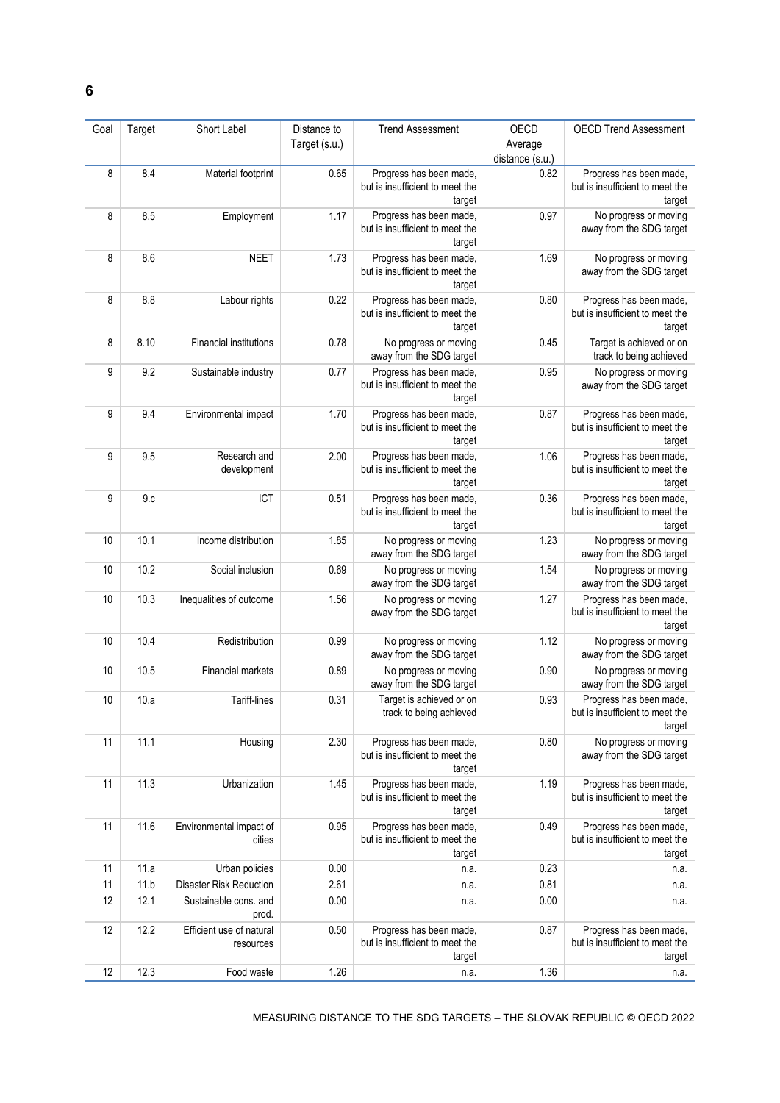| Goal | Target | Short Label                           | Distance to<br>Target (s.u.) | <b>Trend Assessment</b>                                              | OECD<br>Average<br>distance (s.u.) | <b>OECD Trend Assessment</b>                                         |
|------|--------|---------------------------------------|------------------------------|----------------------------------------------------------------------|------------------------------------|----------------------------------------------------------------------|
| 8    | 8.4    | Material footprint                    | 0.65                         | Progress has been made,<br>but is insufficient to meet the<br>target | 0.82                               | Progress has been made,<br>but is insufficient to meet the<br>target |
| 8    | 8.5    | Employment                            | 1.17                         | Progress has been made,<br>but is insufficient to meet the<br>target | 0.97                               | No progress or moving<br>away from the SDG target                    |
| 8    | 8.6    | <b>NEET</b>                           | 1.73                         | Progress has been made,<br>but is insufficient to meet the<br>target | 1.69                               | No progress or moving<br>away from the SDG target                    |
| 8    | 8.8    | Labour rights                         | 0.22                         | Progress has been made,<br>but is insufficient to meet the<br>target | 0.80                               | Progress has been made,<br>but is insufficient to meet the<br>target |
| 8    | 8.10   | <b>Financial institutions</b>         | 0.78                         | No progress or moving<br>away from the SDG target                    | 0.45                               | Target is achieved or on<br>track to being achieved                  |
| 9    | 9.2    | Sustainable industry                  | 0.77                         | Progress has been made,<br>but is insufficient to meet the<br>target | 0.95                               | No progress or moving<br>away from the SDG target                    |
| 9    | 9.4    | Environmental impact                  | 1.70                         | Progress has been made,<br>but is insufficient to meet the<br>target | 0.87                               | Progress has been made,<br>but is insufficient to meet the<br>target |
| 9    | 9.5    | Research and<br>development           | 2.00                         | Progress has been made,<br>but is insufficient to meet the<br>target | 1.06                               | Progress has been made,<br>but is insufficient to meet the<br>target |
| 9    | 9c     | ICT                                   | 0.51                         | Progress has been made,<br>but is insufficient to meet the<br>target | 0.36                               | Progress has been made,<br>but is insufficient to meet the<br>target |
| 10   | 10.1   | Income distribution                   | 1.85                         | No progress or moving<br>away from the SDG target                    | 1.23                               | No progress or moving<br>away from the SDG target                    |
| 10   | 10.2   | Social inclusion                      | 0.69                         | No progress or moving<br>away from the SDG target                    | 1.54                               | No progress or moving<br>away from the SDG target                    |
| 10   | 10.3   | Inequalities of outcome               | 1.56                         | No progress or moving<br>away from the SDG target                    | 1.27                               | Progress has been made,<br>but is insufficient to meet the<br>target |
| 10   | 10.4   | Redistribution                        | 0.99                         | No progress or moving<br>away from the SDG target                    | 1.12                               | No progress or moving<br>away from the SDG target                    |
| 10   | 10.5   | Financial markets                     | 0.89                         | No progress or moving<br>away from the SDG target                    | 0.90                               | No progress or moving<br>away from the SDG target                    |
| 10   | 10.a   | Tariff-lines                          | 0.31                         | Target is achieved or on<br>track to being achieved                  | 0.93                               | Progress has been made,<br>but is insufficient to meet the<br>target |
| 11   | 11.1   | Housing                               | 2.30                         | Progress has been made,<br>but is insufficient to meet the<br>target | 0.80                               | No progress or moving<br>away from the SDG target                    |
| 11   | 11.3   | Urbanization                          | 1.45                         | Progress has been made,<br>but is insufficient to meet the<br>target | 1.19                               | Progress has been made,<br>but is insufficient to meet the<br>target |
| 11   | 11.6   | Environmental impact of<br>cities     | 0.95                         | Progress has been made,<br>but is insufficient to meet the<br>target | 0.49                               | Progress has been made,<br>but is insufficient to meet the<br>target |
| 11   | 11.a   | Urban policies                        | 0.00                         | n.a.                                                                 | 0.23                               | n.a.                                                                 |
| 11   | 11.b   | <b>Disaster Risk Reduction</b>        | 2.61                         | n.a.                                                                 | 0.81                               | n.a.                                                                 |
| 12   | 12.1   | Sustainable cons. and<br>prod.        | 0.00                         | n.a.                                                                 | 0.00                               | n.a.                                                                 |
| 12   | 12.2   | Efficient use of natural<br>resources | 0.50                         | Progress has been made,<br>but is insufficient to meet the<br>target | 0.87                               | Progress has been made,<br>but is insufficient to meet the<br>target |
| 12   | 12.3   | Food waste                            | 1.26                         | n.a.                                                                 | 1.36                               | n.a.                                                                 |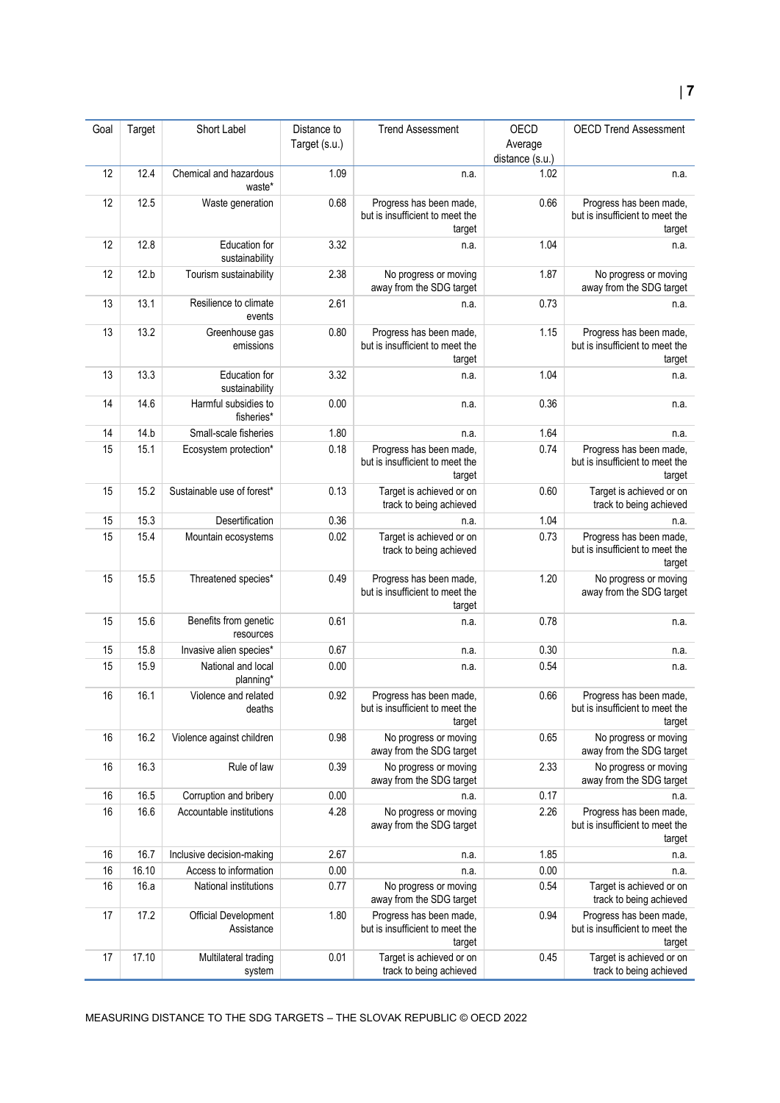#### Goal Target Short Label Distance to Target (s.u.) Trend Assessment OECD Average distance (s.u.) OECD Trend Assessment 12 12.4 Chemical and hazardous waste<sup>\*</sup> 1.09 n.a. 1.02 n.a. 12 12.5 Waste generation 0.68 Progress has been made, but is insufficient to meet the target 0.66 **Progress has been made,** but is insufficient to meet the target 12 12.8 Education for sustainability  $3.32$  n.a.  $1.04$  n.a. n.a. 12 12.b Tourism sustainability 2.38 No progress or moving away from the SDG target 1.87 No progress or moving away from the SDG target 13 13.1 Resilience to climate events 2.61 n.a. 0.73 n.a. 13 13.2 Greenhouse gas emissions 0.80 Progress has been made, but is insufficient to meet the target 1.15 Progress has been made, but is insufficient to meet the target 13 13.3 Education for sustainability  $3.32$  n.a.  $1.04$  n.a. n.a. 14 14.6 Harmful subsidies to fisheries\* 0.00 **n.a.** n.a.  $\vert$  0.36 **n.a.** n.a. 14 14.b Small-scale fisheries 1.80 n.a. 1.64 n.a. 1.64 n.a. 15 15.1 Ecosystem protection<sup>\*</sup> 0.18 Progress has been made, but is insufficient to meet the target 0.74 Progress has been made, but is insufficient to meet the target 15 15.2 Sustainable use of forest\* 0.13 Target is achieved or on track to being achieved 0.60 Target is achieved or on track to being achieved 15 15.3 Desertification 0.36 n.a. 1.04 n.a. 1.04 n.a. 15 15.4 Mountain ecosystems 0.02 Target is achieved or on track to being achieved 0.73 Progress has been made, but is insufficient to meet the target 15 15.5 Threatened species<sup>\*</sup> 0.49 Progress has been made. but is insufficient to meet the target 1.20 No progress or moving away from the SDG target 15 15.6 Benefits from genetic resources 0.61 n.a. 0.78 n.a. 15 15.8 Invasive alien species\* 0.67 n.a. n.a. 0.30 n.a. 0.30 n.a. 15 15.9 National and local planning\* 0.00 **n.a.** n.a.  $0.54$  n.a. 16 16.1 Violence and related deaths 0.92 Progress has been made, but is insufficient to meet the target 0.66 Progress has been made, but is insufficient to meet the target 16 16.2 Violence against children 0.98 No progress or moving away from the SDG target 0.65 No progress or moving away from the SDG target 16 16.3 Rule of law 0.39 No progress or moving away from the SDG target 2.33 No progress or moving away from the SDG target 16 16.5 Corruption and bribery 0.00 n.a. 0.17 n.a. 0.17 n.a. 16 16.6 Accountable institutions 4.28 No progress or moving away from the SDG target 2.26 Progress has been made, but is insufficient to meet the target 16 16.7 Inclusive decision-making 2.67 n.a. 1.85 n.a. 1.85 n.a. 16 16.10 Access to information 0.00 n.a. 0.00 n.a. 16 16.a National institutions 0.77 No progress or moving away from the SDG target 0.54 Target is achieved or on track to being achieved 17 17.2 Official Development 1.80 Progress has been made, but is insufficient to meet the 0.94 Progress has been made, but is insufficient to meet the

target

0.01 Target is achieved or on

track to being achieved

Assistance

system

17 17.10 Multilateral trading

target

0.45 Target is achieved or on

track to being achieved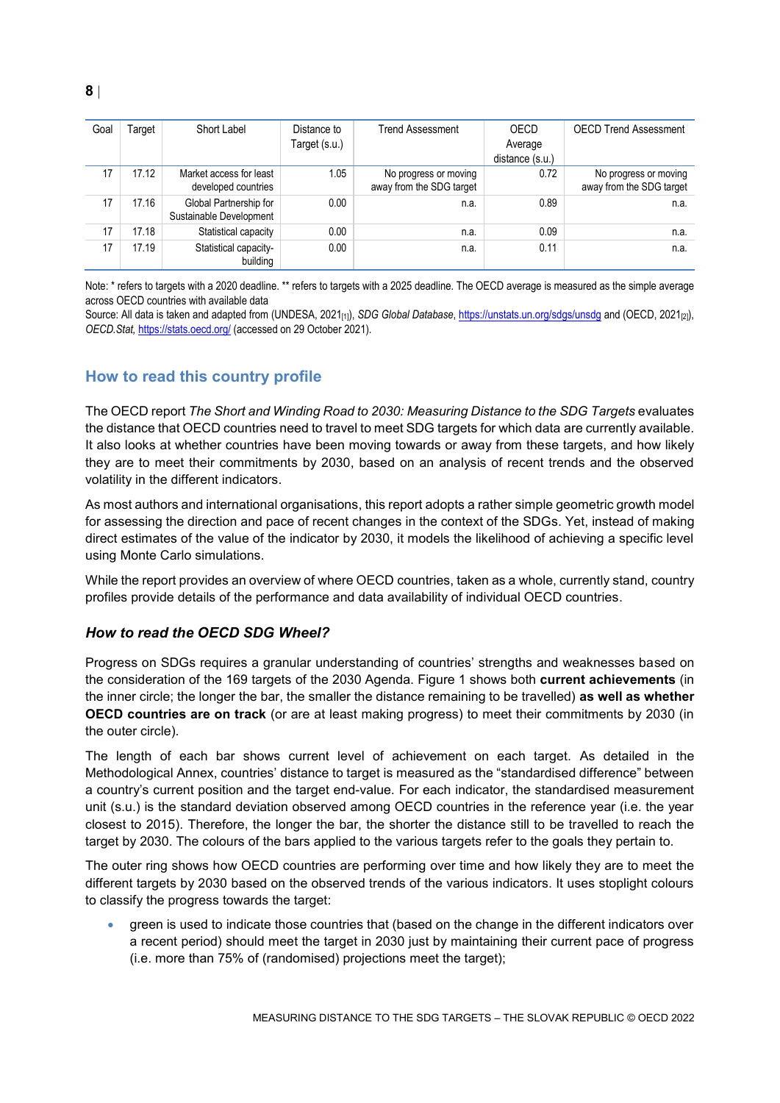| Goal | Гarqet | Short Label                                       | Distance to   | <b>Trend Assessment</b>                           | OECD            | <b>OECD Trend Assessment</b>                      |
|------|--------|---------------------------------------------------|---------------|---------------------------------------------------|-----------------|---------------------------------------------------|
|      |        |                                                   | Target (s.u.) |                                                   | Average         |                                                   |
|      |        |                                                   |               |                                                   | distance (s.u.) |                                                   |
| 17   | 17.12  | Market access for least<br>developed countries    | 1.05          | No progress or moving<br>away from the SDG target | 0.72            | No progress or moving<br>away from the SDG target |
| 17   | 17.16  | Global Partnership for<br>Sustainable Development | 0.00          | n.a.                                              | 0.89            | n.a.                                              |
| 17   | 17.18  | Statistical capacity                              | 0.00          | n.a.                                              | 0.09            | n.a.                                              |
| 17   | 17.19  | Statistical capacity-<br>building                 | 0.00          | n.a.                                              | 0.11            | n.a.                                              |

Note: \* refers to targets with a 2020 deadline. \*\* refers to targets with a 2025 deadline. The OECD average is measured as the simple average across OECD countries with available data

Source: All data is taken and adapted from (UNDESA, 2021<sub>[1]</sub>), *SDG Global Database*[, https://unstats.un.org/sdgs/unsdg](https://unstats.un.org/sdgs/unsdg) and (OECD, 2021<sub>[2]</sub>), *OECD.Stat,* <https://stats.oecd.org/> (accessed on 29 October 2021).

# <span id="page-7-0"></span>**How to read this country profile**

The OECD report *The Short and Winding Road to 2030: Measuring Distance to the SDG Targets* evaluates the distance that OECD countries need to travel to meet SDG targets for which data are currently available. It also looks at whether countries have been moving towards or away from these targets, and how likely they are to meet their commitments by 2030, based on an analysis of recent trends and the observed volatility in the different indicators.

As most authors and international organisations, this report adopts a rather simple geometric growth model for assessing the direction and pace of recent changes in the context of the SDGs. Yet, instead of making direct estimates of the value of the indicator by 2030, it models the likelihood of achieving a specific level using Monte Carlo simulations.

While the report provides an overview of where OECD countries, taken as a whole, currently stand, country profiles provide details of the performance and data availability of individual OECD countries.

#### *How to read the OECD SDG Wheel?*

Progress on SDGs requires a granular understanding of countries' strengths and weaknesses based on the consideration of the 169 targets of the 2030 Agenda. [Figure](#page-0-0) 1 shows both **current achievements** (in the inner circle; the longer the bar, the smaller the distance remaining to be travelled) **as well as whether OECD countries are on track** (or are at least making progress) to meet their commitments by 2030 (in the outer circle).

The length of each bar shows current level of achievement on each target. As detailed in the Methodological Annex, countries' distance to target is measured as the "standardised difference" between a country's current position and the target end-value. For each indicator, the standardised measurement unit (s.u.) is the standard deviation observed among OECD countries in the reference year (i.e. the year closest to 2015). Therefore, the longer the bar, the shorter the distance still to be travelled to reach the target by 2030. The colours of the bars applied to the various targets refer to the goals they pertain to.

The outer ring shows how OECD countries are performing over time and how likely they are to meet the different targets by 2030 based on the observed trends of the various indicators. It uses stoplight colours to classify the progress towards the target:

 green is used to indicate those countries that (based on the change in the different indicators over a recent period) should meet the target in 2030 just by maintaining their current pace of progress (i.e. more than 75% of (randomised) projections meet the target);